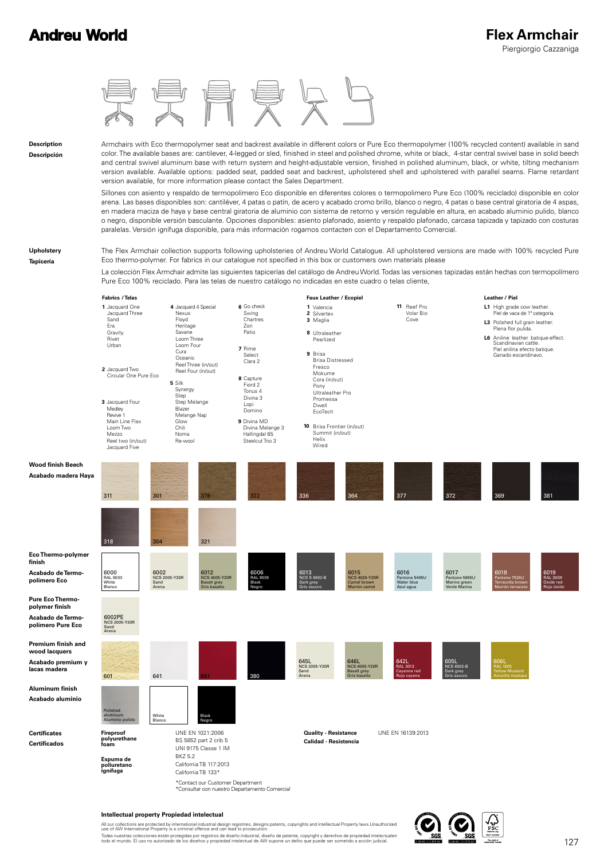

#### **Intellectual property Propiedad intelectual**

All our collections are protected by international industrial design registries, designs patents, copyrights and intellectual Property laws.Unauthorized<br>use of AW International Property is a criminal offence and can lead t Todas nuestras colecciones están protegidas por registros de diseño industrial, diseño de patente, copyright y derechos de propiedad intelectualen<br>todo el mundo. El uso no autorizado de los diseños y propiedad intelectual

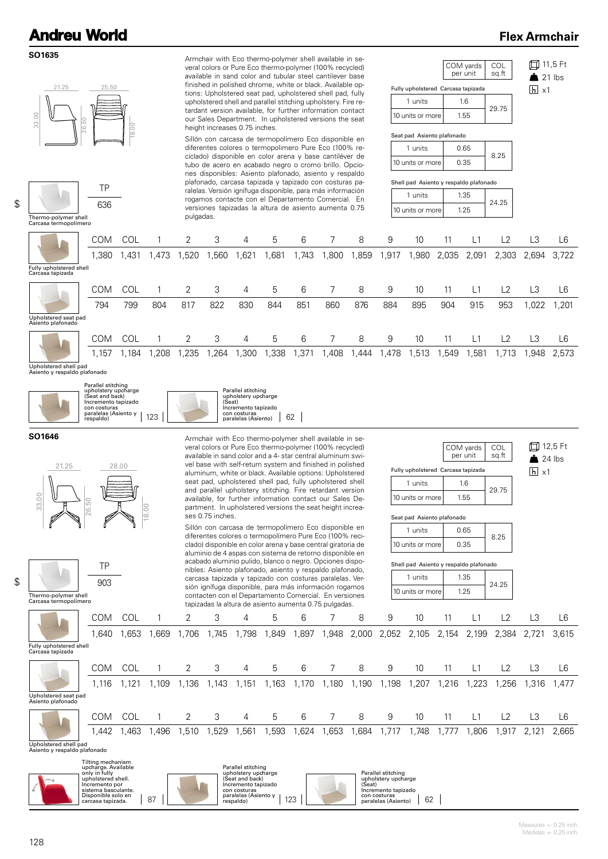### **Flex Armchair**

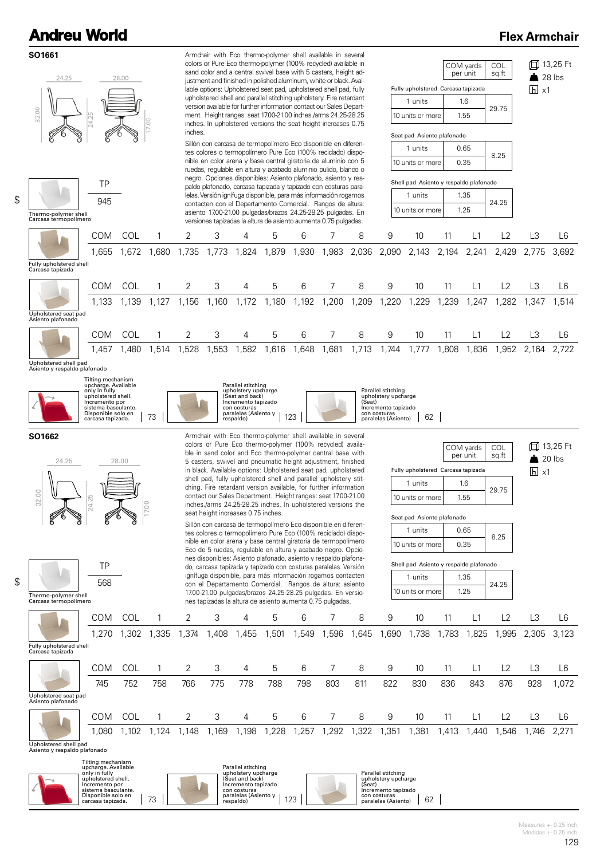### **Flex Armchair**



**Andreu World**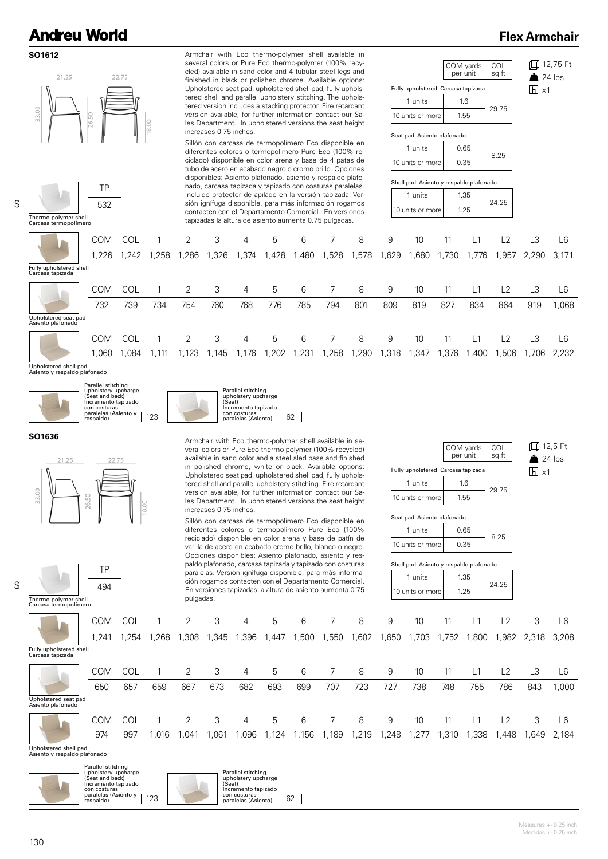### **Flex Armchair**



con costuras paralelas (Asiento) 62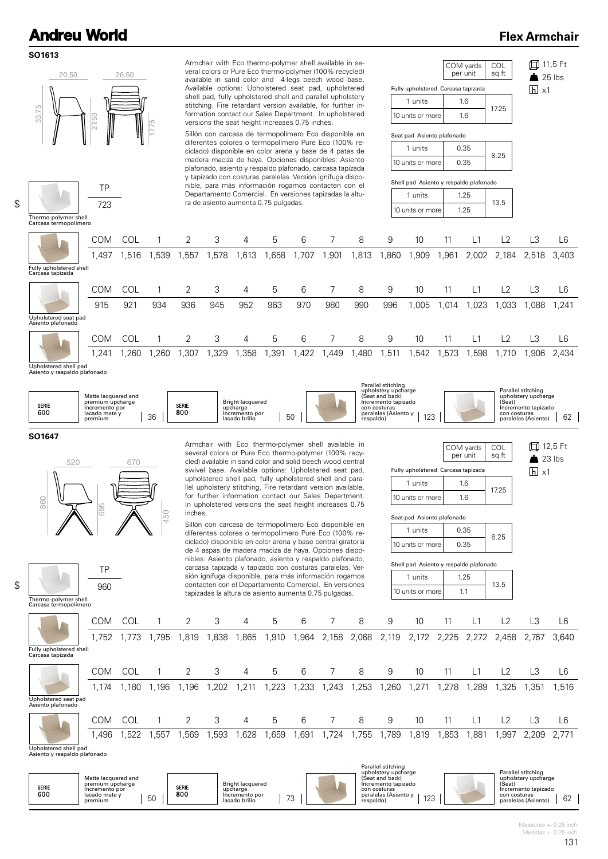#### **SO1613**

\$

\$

### **Flex Armchair**



|                                                       |            |            | ,,, J |       | ,,,,,, | טטט, ו | טו ט, ו |       |       |       |       |       | $1,00 + 2,100$ $2,000$ $2,110$ $2,112$ $2,220$ $2,212$ $2,400$ $2,101$ |      |       |       | ∪+∪,  |
|-------------------------------------------------------|------------|------------|-------|-------|--------|--------|---------|-------|-------|-------|-------|-------|------------------------------------------------------------------------|------|-------|-------|-------|
| Fully upholstered shell<br>Carcasa tapizada           |            |            |       |       |        |        |         |       |       |       |       |       |                                                                        |      |       |       |       |
|                                                       | COM        | <b>COL</b> |       | 2     | 3      | 4      | 5       | 6     |       | 8     | 9     | 10    |                                                                        |      |       |       | L6    |
|                                                       | 1.174      | 1.180      | 1,196 | 1,196 | .202   | 211,   | ,223    | 1,233 | 1,243 | .253  | ,260  | 1,271 | 1,278                                                                  | ,289 | 1,325 | .351  | .516  |
| Upholstered seat pad<br>Asiento plafonado             |            |            |       |       |        |        |         |       |       |       |       |       |                                                                        |      |       |       |       |
|                                                       | <b>COM</b> | <b>COL</b> |       |       | 3      | 4      | 5       | 6     |       | 8     | 9     | 10    |                                                                        |      |       | LЗ    | L6    |
|                                                       | 1.496      | 1,522      | ,557  | .569  | .593   | .628   | ,659    | 691,ا | 1,724 | 1,755 | 1,789 | 1,819 | ,853                                                                   | ,881 | ,997  | 2,209 | 2.771 |
| Upholstered shell pad<br>Asiento y respaldo plafonado |            |            |       |       |        |        |         |       |       |       |       |       |                                                                        |      |       |       |       |

| SERIE<br>600 | Matte lacquered and<br>premium upcharge<br>Incremento por<br>lacado mate v | <b>SERIE</b><br>80C | <b>Bright lacquered</b><br>upcharge<br>Incremento por | $\overline{\phantom{0}}$ | .<br>upholstery upcharge<br>(Seat and back)<br>Incremento tapizado<br>con costuras<br>paralelas (Asiento y<br>$\Delta$ | Parallel stitching<br>upholstery upcharge<br>(Seat<br>Incremento tapizado<br>con costuras |    |
|--------------|----------------------------------------------------------------------------|---------------------|-------------------------------------------------------|--------------------------|------------------------------------------------------------------------------------------------------------------------|-------------------------------------------------------------------------------------------|----|
|              | 50<br>premium                                                              |                     | lacado brillo                                         |                          | respaldo)                                                                                                              | paralelas (Asiento)                                                                       | 62 |

Parallel stitching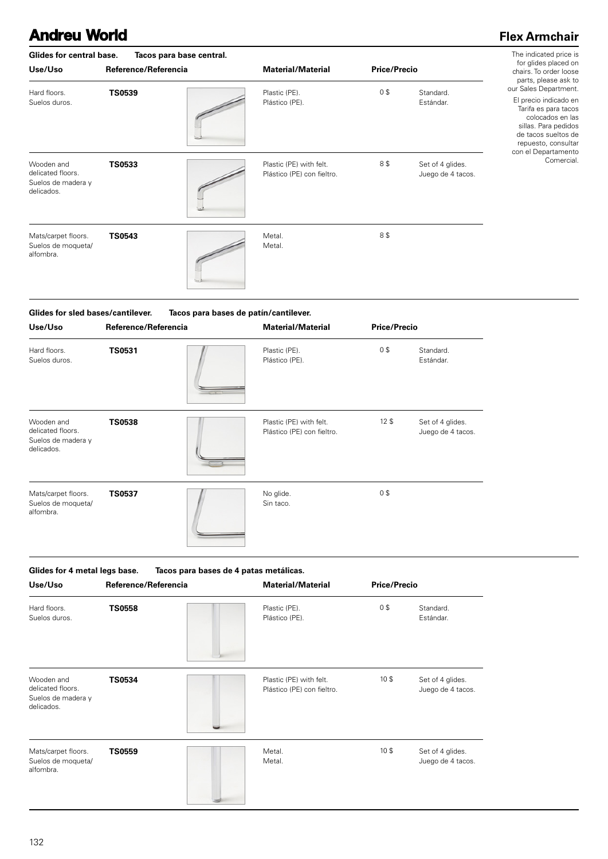### **Flex Armchair**

| Glides for central base.<br>Use/Uso                                 | Tacos para base central.<br>Reference/Referencia | <b>Material/Material</b>                              | <b>Price/Precio</b> | The indicated price is<br>for glides placed on<br>chairs. To order loose |                                                                                                                                                                                          |
|---------------------------------------------------------------------|--------------------------------------------------|-------------------------------------------------------|---------------------|--------------------------------------------------------------------------|------------------------------------------------------------------------------------------------------------------------------------------------------------------------------------------|
| Hard floors.<br>Suelos duros.                                       | <b>TS0539</b>                                    | Plastic (PE).<br>Plástico (PE).                       | 0\$                 | Standard.<br>Estándar.                                                   | parts, please ask to<br>our Sales Department.<br>El precio indicado en<br>Tarifa es para tacos<br>colocados en las<br>sillas. Para pedidos<br>de tacos sueltos de<br>repuesto, consultar |
| Wooden and<br>delicated floors.<br>Suelos de madera y<br>delicados. | <b>TS0533</b>                                    | Plastic (PE) with felt.<br>Plástico (PE) con fieltro. | 8\$                 | Set of 4 glides.<br>Juego de 4 tacos.                                    | con el Departamento<br>Comercial.                                                                                                                                                        |
| Mats/carpet floors.<br>Suelos de moqueta/<br>alfombra.              | <b>TS0543</b>                                    | Metal.<br>Metal.                                      | 8\$                 |                                                                          |                                                                                                                                                                                          |

| Use/Uso                                                             | Reference/Referencia | <b>Material/Material</b>                              | <b>Price/Precio</b> |                                       |
|---------------------------------------------------------------------|----------------------|-------------------------------------------------------|---------------------|---------------------------------------|
| Hard floors.<br>Suelos duros.                                       | <b>TS0531</b>        | Plastic (PE).<br>Plástico (PE).                       | 0\$                 | Standard.<br>Estándar.                |
| Wooden and<br>delicated floors.<br>Suelos de madera y<br>delicados. | <b>TS0538</b>        | Plastic (PE) with felt.<br>Plástico (PE) con fieltro. | $12$ \$             | Set of 4 glides.<br>Juego de 4 tacos. |
| Mats/carpet floors.<br>Suelos de moqueta/<br>alfombra.              | <b>TS0537</b>        | No glide.<br>Sin taco.                                | 0\$                 |                                       |

**Use/Uso Reference/Referencia Material/Material Price/Precio Glides for 4 metal legs base. Tacos para bases de 4 patas metálicas. TS0534** 10 \$ Plástico (PE) con fieltro. Wooden and delicated floors. Suelos de madera y delicados. Set of 4 glides. Juego de 4 tacos. **TS0558** 0 \$ Plástico (PE). Hard floors. Suelos duros. Standard. Estándar. Metal. Metal. Mats/carpet floors. Suelos de moqueta/ alfombra. Set of 4 glides. Juego de 4 tacos. **TS0559** 10 \$